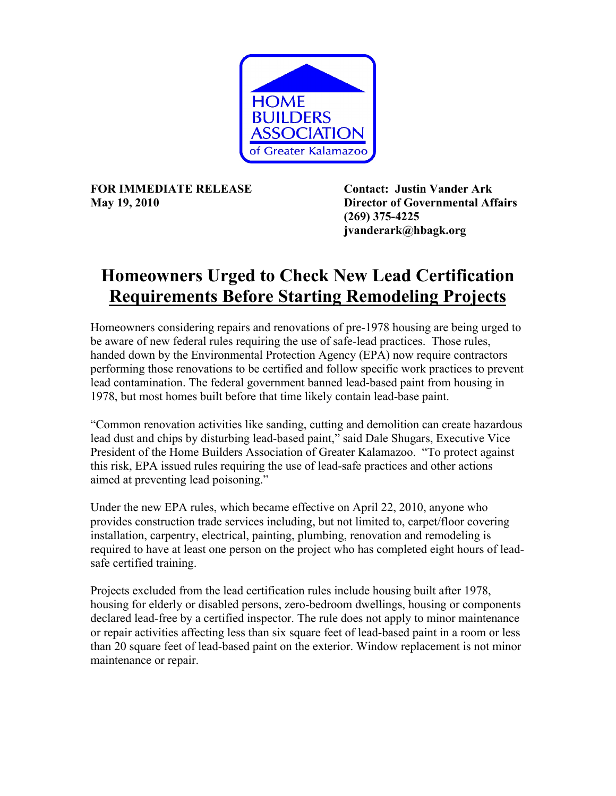

**FOR IMMEDIATE RELEASE Contact: Justin Vander Ark** 

**May 19, 2010 Director of Governmental Affairs (269) 375-4225 jvanderark@hbagk.org** 

## **Homeowners Urged to Check New Lead Certification Requirements Before Starting Remodeling Projects**

Homeowners considering repairs and renovations of pre-1978 housing are being urged to be aware of new federal rules requiring the use of safe-lead practices. Those rules, handed down by the Environmental Protection Agency (EPA) now require contractors performing those renovations to be certified and follow specific work practices to prevent lead contamination. The federal government banned lead-based paint from housing in 1978, but most homes built before that time likely contain lead-base paint.

"Common renovation activities like sanding, cutting and demolition can create hazardous lead dust and chips by disturbing lead-based paint," said Dale Shugars, Executive Vice President of the Home Builders Association of Greater Kalamazoo. "To protect against this risk, EPA issued rules requiring the use of lead-safe practices and other actions aimed at preventing lead poisoning."

Under the new EPA rules, which became effective on April 22, 2010, anyone who provides construction trade services including, but not limited to, carpet/floor covering installation, carpentry, electrical, painting, plumbing, renovation and remodeling is required to have at least one person on the project who has completed eight hours of leadsafe certified training.

Projects excluded from the lead certification rules include housing built after 1978, housing for elderly or disabled persons, zero-bedroom dwellings, housing or components declared lead-free by a certified inspector. The rule does not apply to minor maintenance or repair activities affecting less than six square feet of lead-based paint in a room or less than 20 square feet of lead-based paint on the exterior. Window replacement is not minor maintenance or repair.